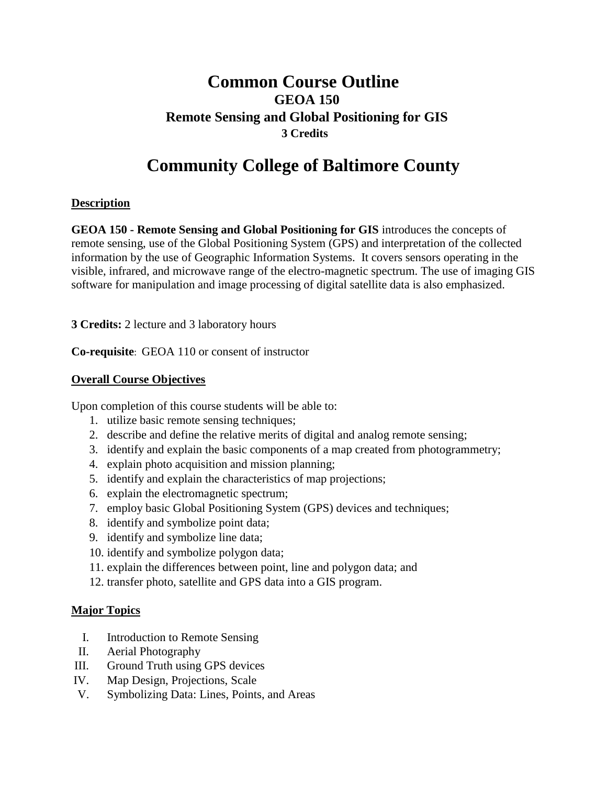# **Common Course Outline GEOA 150 Remote Sensing and Global Positioning for GIS 3 Credits**

# **Community College of Baltimore County**

## **Description**

**GEOA 150 - Remote Sensing and Global Positioning for GIS** introduces the concepts of remote sensing, use of the Global Positioning System (GPS) and interpretation of the collected information by the use of Geographic Information Systems. It covers sensors operating in the visible, infrared, and microwave range of the electro-magnetic spectrum. The use of imaging GIS software for manipulation and image processing of digital satellite data is also emphasized.

**3 Credits:** 2 lecture and 3 laboratory hours

**Co-requisite**: GEOA 110 or consent of instructor

## **Overall Course Objectives**

Upon completion of this course students will be able to:

- 1. utilize basic remote sensing techniques;
- 2. describe and define the relative merits of digital and analog remote sensing;
- 3. identify and explain the basic components of a map created from photogrammetry;
- 4. explain photo acquisition and mission planning;
- 5. identify and explain the characteristics of map projections;
- 6. explain the electromagnetic spectrum;
- 7. employ basic Global Positioning System (GPS) devices and techniques;
- 8. identify and symbolize point data;
- 9. identify and symbolize line data;
- 10. identify and symbolize polygon data;
- 11. explain the differences between point, line and polygon data; and
- 12. transfer photo, satellite and GPS data into a GIS program.

## **Major Topics**

- I. Introduction to Remote Sensing
- II. Aerial Photography
- III. Ground Truth using GPS devices
- IV. Map Design, Projections, Scale
- V. Symbolizing Data: Lines, Points, and Areas